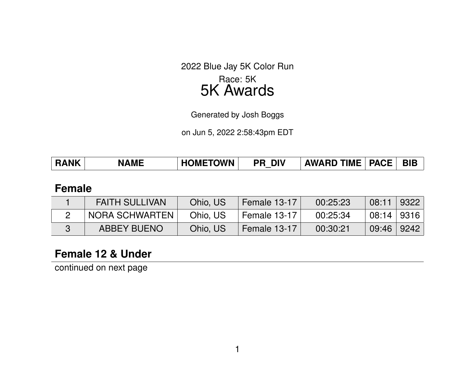2022 Blue Jay 5K Color Run Race: 5K

# 5K Awards

Generated by Josh Boggs

on Jun 5, 2022 2:58:43pm EDT

| <b>RANK</b> | <b>NAME</b> | <b>HOMETOWN</b> | <b>DIV</b><br>PR | <b>AWARD TIME</b> | <b>PACE</b> | <b>BIB</b> |
|-------------|-------------|-----------------|------------------|-------------------|-------------|------------|
|             |             |                 | _                |                   |             |            |

#### **Female**

| <b>FAITH SULLIVAN</b> | Ohio, US | Female 13-17 | 00:25:23 | 08:11            | 9322 |
|-----------------------|----------|--------------|----------|------------------|------|
| NORA SCHWARTEN        | Ohio, US | Female 13-17 | 00:25:34 | $ 08:14 $   9316 |      |
| ABBEY BUENO           | Ohio, US | Female 13-17 | 00:30:21 | 09:46   9242     |      |

## **Female 12 & Under**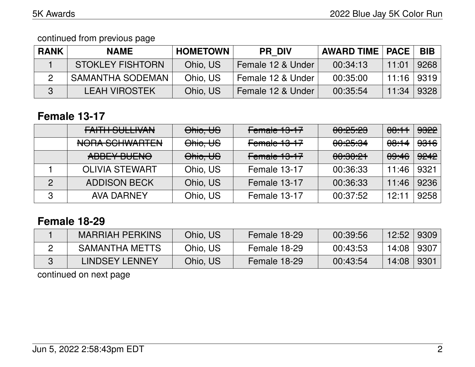#### continued from previous page

| <b>RANK</b> | <b>NAME</b>             | <b>HOMETOWN</b> | <b>PR DIV</b>     | <b>AWARD TIME   PACE</b> |              | BIB  |
|-------------|-------------------------|-----------------|-------------------|--------------------------|--------------|------|
|             | <b>STOKLEY FISHTORN</b> | Ohio, US        | Female 12 & Under | 00:34:13                 | 11:01        | 9268 |
|             | <b>SAMANTHA SODEMAN</b> | Ohio, US        | Female 12 & Under | 00:35:00                 | 11:16   9319 |      |
|             | LEAH VIROSTEK           | Ohio, US        | Female 12 & Under | 00:35:54                 | 11:34        | 9328 |

# **Female 13-17**

|               | $L$ AITIL CLILI IVANI<br><u>LAITH OOLLIVAIV</u> | Ohio, US | Female 13-17 | <u>AA.AE.AA</u><br><u>UU.CJ.CJ</u> | <del>08:11</del> | <del>9322</del> |
|---------------|-------------------------------------------------|----------|--------------|------------------------------------|------------------|-----------------|
|               | MODA COLIMIADTEN<br><u>INULIA JUHIWAHILLIN</u>  | Ohio, US | Female 13-17 | <del>00:25:34</del>                | <del>08:14</del> | <del>9316</del> |
|               | ADDEV DUENA<br>ADDLT DULITU                     | Ohio, US | Female 13-17 | <u>. AQ QO OH</u><br>00.00.61      | <del>09:46</del> | <del>9242</del> |
|               | <b>OLIVIA STEWART</b>                           | Ohio, US | Female 13-17 | 00:36:33                           | 11:46            | 9321            |
| $\mathcal{P}$ | <b>ADDISON BECK</b>                             | Ohio, US | Female 13-17 | 00:36:33                           | 11:46            | 9236            |
| 3             | <b>AVA DARNEY</b>                               | Ohio, US | Female 13-17 | 00:37:52                           | 12:11            | 9258            |

# **Female 18-29**

| <b>MARRIAH PERKINS</b> | Ohio, US | Female 18-29 | 00:39:56 | 12:52 | 9309 |
|------------------------|----------|--------------|----------|-------|------|
| <b>SAMANTHA METTS</b>  | Ohio, US | Female 18-29 | 00:43:53 | 14:08 | 9307 |
| LINDSEY LENNEY         | Ohio, US | Female 18-29 | 00:43:54 | 14:08 | 9301 |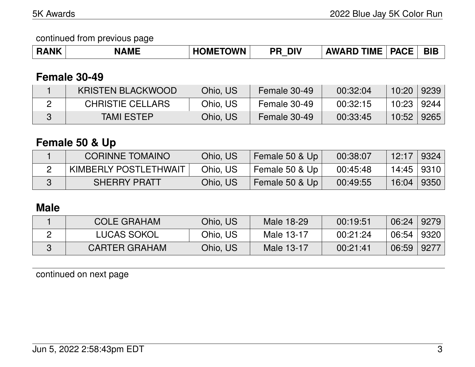continued from previous page

| <b>RANK</b> | <b>NAME</b> | <b>HOMETOWN</b> | <b>DIV</b><br>DГ | <b>AWARD TIME</b> | <b>PACE</b> | <b>BIE</b> |
|-------------|-------------|-----------------|------------------|-------------------|-------------|------------|
|-------------|-------------|-----------------|------------------|-------------------|-------------|------------|

## **Female 30-49**

| <b>KRISTEN BLACKWOOD</b> | Ohio, US | Female 30-49 | 00:32:04 | 10:20      | 9239 |
|--------------------------|----------|--------------|----------|------------|------|
| <b>CHRISTIE CELLARS</b>  | Ohio, US | Female 30-49 | 00:32:15 | 10:23 9244 |      |
| <b>TAMI ESTEP</b>        | Ohio, US | Female 30-49 | 00:33:45 | 10:52      | 9265 |

## **Female 50 & Up**

| <b>CORINNE TOMAINO</b> | Ohio, US | Female 50 & Up | 00:38:07 | 12:17      | $\mid$ 9324    |
|------------------------|----------|----------------|----------|------------|----------------|
| KIMBERLY POSTLETHWAIT  | Ohio, US | Female 50 & Up | 00:45:48 | 14:45 9310 |                |
| <b>SHERRY PRATT</b>    | Ohio, US | Female 50 & Up | 00:49:55 | 16:04      | $ 9350\rangle$ |

## **Male**

| <b>COLE GRAHAM</b>   | Ohio, US | Male 18-29 | 00:19:51 | 06:24 | 9279 |
|----------------------|----------|------------|----------|-------|------|
| <b>LUCAS SOKOL</b>   | Ohio, US | Male 13-17 | 00:21:24 | 06:54 | 9320 |
| <b>CARTER GRAHAM</b> | Ohio, US | Male 13-17 | 00:21:41 | 06:59 | 9277 |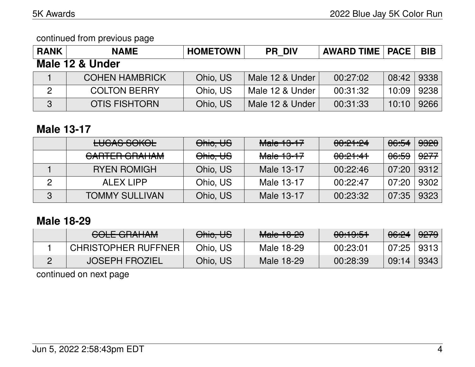#### continued from previous page

| <b>RANK</b>     | <b>NAME</b>           | <b>HOMETOWN</b> | <b>PR DIV</b>   | <b>AWARD TIME   PACE  </b> |       | <b>BIB</b> |  |  |
|-----------------|-----------------------|-----------------|-----------------|----------------------------|-------|------------|--|--|
| Male 12 & Under |                       |                 |                 |                            |       |            |  |  |
|                 | <b>COHEN HAMBRICK</b> | Ohio, US        | Male 12 & Under | 00:27:02                   | 08:42 | 9338       |  |  |
|                 | <b>COLTON BERRY</b>   | Ohio, US        | Male 12 & Under | 00:31:32                   | 10:09 | 9238       |  |  |
| $\overline{3}$  | <b>OTIS FISHTORN</b>  | Ohio, US        | Male 12 & Under | 00:31:33                   | 10:10 | 9266       |  |  |

#### **Male 13-17**

|   | <u>LLIOAO COIZOL</u><br>LUUNU UUNUL                           | Ohio, US | Male 13-17            | <del>00:21:24</del> | <del>06:54</del> | 9320            |
|---|---------------------------------------------------------------|----------|-----------------------|---------------------|------------------|-----------------|
|   | $\triangle$ ADTED $\triangle$ DALIAM<br><u> VANIEN VIIAIM</u> | Ohio, US | <del>Male 13-17</del> | <del>00:21:41</del> | <del>06:59</del> | <del>9277</del> |
|   | <b>RYEN ROMIGH</b>                                            | Ohio, US | Male 13-17            | 00:22:46            | 07:20            | 9312            |
|   | ALEX LIPP                                                     | Ohio, US | Male 13-17            | 00:22:47            | 07:20            | 9302            |
| 3 | <b>TOMMY SULLIVAN</b>                                         | Ohio, US | Male 13-17            | 00:23:32            | 07:35            | 9323            |

# **Male 18-29**

| <del>UULL UNAHAM</del>     | Ohio, US | $M$ ala 10.00<br><del>Maic To 20</del> | 0.10.51<br><del>uu.ruu</del> | <del>06:24</del> | <del>9279</del> |
|----------------------------|----------|----------------------------------------|------------------------------|------------------|-----------------|
| <b>CHRISTOPHER RUFFNER</b> | Ohio, US | Male 18-29                             | 00:23:01                     | 07:25            | 9313            |
| <b>JOSEPH FROZIEL</b>      | Ohio, US | Male 18-29                             | 00:28:39                     | 09:14            | 9343            |